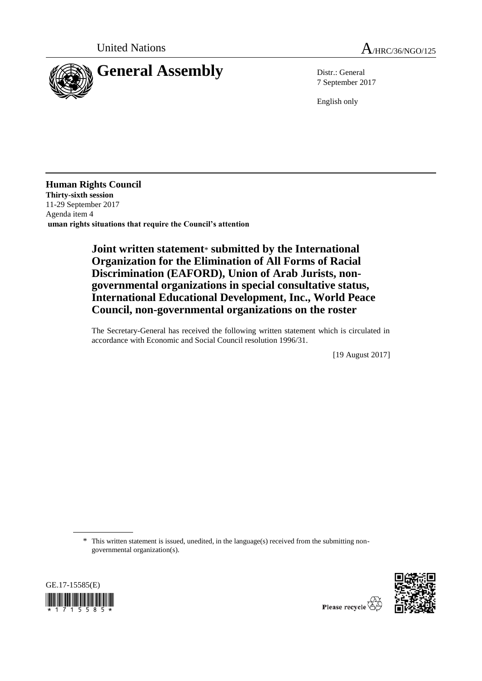



7 September 2017

English only

**Human Rights Council Thirty-sixth session** 11-29 September 2017 Agenda item 4 **uman rights situations that require the Council's attention**

## **Joint written statement**\* **submitted by the International Organization for the Elimination of All Forms of Racial Discrimination (EAFORD), Union of Arab Jurists, nongovernmental organizations in special consultative status, International Educational Development, Inc., World Peace Council, non-governmental organizations on the roster**

The Secretary-General has received the following written statement which is circulated in accordance with Economic and Social Council resolution 1996/31.

[19 August 2017]

\* This written statement is issued, unedited, in the language(s) received from the submitting nongovernmental organization(s).



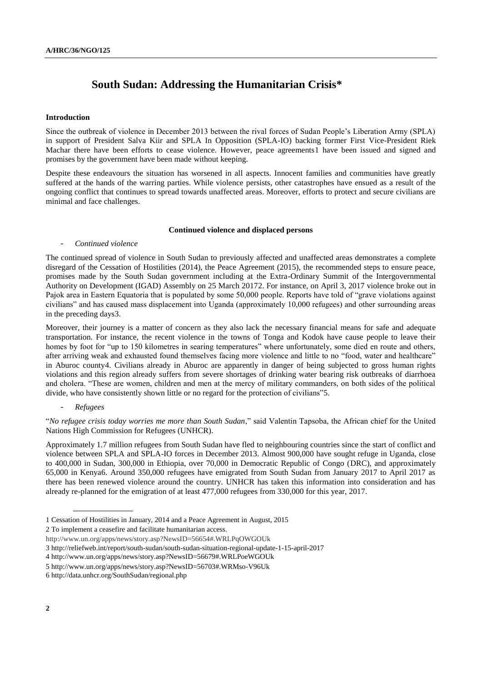# **South Sudan: Addressing the Humanitarian Crisis\***

## **Introduction**

Since the outbreak of violence in December 2013 between the rival forces of Sudan People's Liberation Army (SPLA) in support of President Salva Kiir and SPLA In Opposition (SPLA-IO) backing former First Vice-President Riek Machar there have been efforts to cease violence. However, peace agreements1 have been issued and signed and promises by the government have been made without keeping.

Despite these endeavours the situation has worsened in all aspects. Innocent families and communities have greatly suffered at the hands of the warring parties. While violence persists, other catastrophes have ensued as a result of the ongoing conflict that continues to spread towards unaffected areas. Moreover, efforts to protect and secure civilians are minimal and face challenges.

## **Continued violence and displaced persons**

## - *Continued violence*

The continued spread of violence in South Sudan to previously affected and unaffected areas demonstrates a complete disregard of the Cessation of Hostilities (2014), the Peace Agreement (2015), the recommended steps to ensure peace, promises made by the South Sudan government including at the Extra-Ordinary Summit of the Intergovernmental Authority on Development (IGAD) Assembly on 25 March 20172. For instance, on April 3, 2017 violence broke out in Pajok area in Eastern Equatoria that is populated by some 50,000 people. Reports have told of "grave violations against civilians" and has caused mass displacement into Uganda (approximately 10,000 refugees) and other surrounding areas in the preceding days3.

Moreover, their journey is a matter of concern as they also lack the necessary financial means for safe and adequate transportation. For instance, the recent violence in the towns of Tonga and Kodok have cause people to leave their homes by foot for "up to 150 kilometres in searing temperatures" where unfortunately, some died en route and others, after arriving weak and exhausted found themselves facing more violence and little to no "food, water and healthcare" in Aburoc county4. Civilians already in Aburoc are apparently in danger of being subjected to gross human rights violations and this region already suffers from severe shortages of drinking water bearing risk outbreaks of diarrhoea and cholera. "These are women, children and men at the mercy of military commanders, on both sides of the political divide, who have consistently shown little or no regard for the protection of civilians"5.

## - *Refugees*

"*No refugee crisis today worries me more than South Sudan*," said Valentin Tapsoba, the African chief for the United Nations High Commission for Refugees (UNHCR).

Approximately 1.7 million refugees from South Sudan have fled to neighbouring countries since the start of conflict and violence between SPLA and SPLA-IO forces in December 2013. Almost 900,000 have sought refuge in Uganda, close to 400,000 in Sudan, 300,000 in Ethiopia, over 70,000 in Democratic Republic of Congo (DRC), and approximately 65,000 in Kenya6. Around 350,000 refugees have emigrated from South Sudan from January 2017 to April 2017 as there has been renewed violence around the country. UNHCR has taken this information into consideration and has already re-planned for the emigration of at least 477,000 refugees from 330,000 for this year, 2017.

1 Cessation of Hostilities in January, 2014 and a Peace Agreement in August, 2015

<sup>2</sup> To implement a ceasefire and facilitate humanitarian access.

http://www.un.org/apps/news/story.asp?NewsID=56654#.WRLPqOWGOUk

<sup>3</sup> <http://reliefweb.int/report/south-sudan/south-sudan-situation-regional-update-1-15-april-2017>

<sup>4</sup> http://www.un.org/apps/news/story.asp?NewsID=56679#.WRLPoeWGOUk

<sup>5</sup> http://www.un.org/apps/news/story.asp?NewsID=56703#.WRMso-V96Uk

<sup>6</sup> http://data.unhcr.org/SouthSudan/regional.php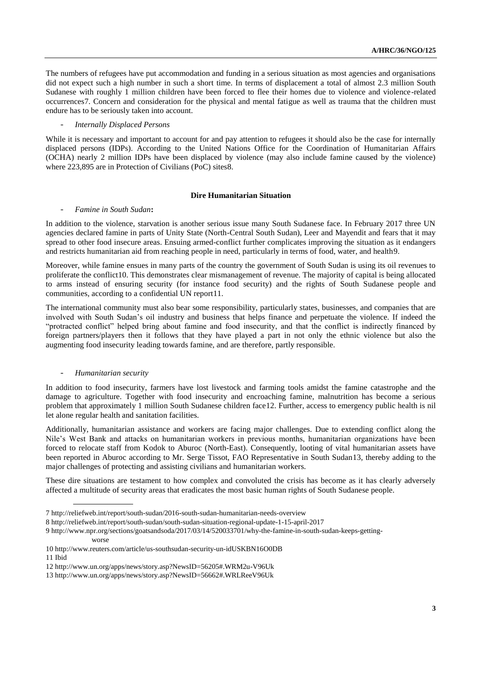The numbers of refugees have put accommodation and funding in a serious situation as most agencies and organisations did not expect such a high number in such a short time. In terms of displacement a total of almost 2.3 million South Sudanese with roughly 1 million children have been forced to flee their homes due to violence and violence-related occurrences7. Concern and consideration for the physical and mental fatigue as well as trauma that the children must endure has to be seriously taken into account.

## - *Internally Displaced Persons*

While it is necessary and important to account for and pay attention to refugees it should also be the case for internally displaced persons (IDPs). According to the United Nations Office for the Coordination of Humanitarian Affairs (OCHA) nearly 2 million IDPs have been displaced by violence (may also include famine caused by the violence) where 223,895 are in Protection of Civilians (PoC) sites8.

## **Dire Humanitarian Situation**

## - *Famine in South Sudan***:**

In addition to the violence, starvation is another serious issue many South Sudanese face. In February 2017 three UN agencies declared famine in parts of Unity State (North-Central South Sudan), Leer and Mayendit and fears that it may spread to other food insecure areas. Ensuing armed-conflict further complicates improving the situation as it endangers and restricts humanitarian aid from reaching people in need, particularly in terms of food, water, and health9.

Moreover, while famine ensues in many parts of the country the government of South Sudan is using its oil revenues to proliferate the conflict10. This demonstrates clear mismanagement of revenue. The majority of capital is being allocated to arms instead of ensuring security (for instance food security) and the rights of South Sudanese people and communities, according to a confidential UN report11.

The international community must also bear some responsibility, particularly states, businesses, and companies that are involved with South Sudan's oil industry and business that helps finance and perpetuate the violence. If indeed the "protracted conflict" helped bring about famine and food insecurity, and that the conflict is indirectly financed by foreign partners/players then it follows that they have played a part in not only the ethnic violence but also the augmenting food insecurity leading towards famine, and are therefore, partly responsible.

## - *Humanitarian security*

worse

In addition to food insecurity, farmers have lost livestock and farming tools amidst the famine catastrophe and the damage to agriculture. Together with food insecurity and encroaching famine, malnutrition has become a serious problem that approximately 1 million South Sudanese children face12. Further, access to emergency public health is nil let alone regular health and sanitation facilities.

Additionally, humanitarian assistance and workers are facing major challenges. Due to extending conflict along the Nile's West Bank and attacks on humanitarian workers in previous months, humanitarian organizations have been forced to relocate staff from Kodok to Aburoc (North-East). Consequently, looting of vital humanitarian assets have been reported in Aburoc according to Mr. Serge Tissot, FAO Representative in South Sudan13, thereby adding to the major challenges of protecting and assisting civilians and humanitarian workers.

These dire situations are testament to how complex and convoluted the crisis has become as it has clearly adversely affected a multitude of security areas that eradicates the most basic human rights of South Sudanese people.

11 Ibid

<sup>7</sup> http://reliefweb.int/report/south-sudan/2016-south-sudan-humanitarian-needs-overview

<sup>8</sup> http://reliefweb.int/report/south-sudan/south-sudan-situation-regional-update-1-15-april-2017

<sup>9</sup> http://www.npr.org/sections/goatsandsoda/2017/03/14/520033701/why-the-famine-in-south-sudan-keeps-getting-

<sup>10</sup> http://www.reuters.com/article/us-southsudan-security-un-idUSKBN16O0DB

<sup>12</sup> http://www.un.org/apps/news/story.asp?NewsID=56205#.WRM2u-V96Uk

<sup>13</sup> http://www.un.org/apps/news/story.asp?NewsID=56662#.WRLReeV96Uk